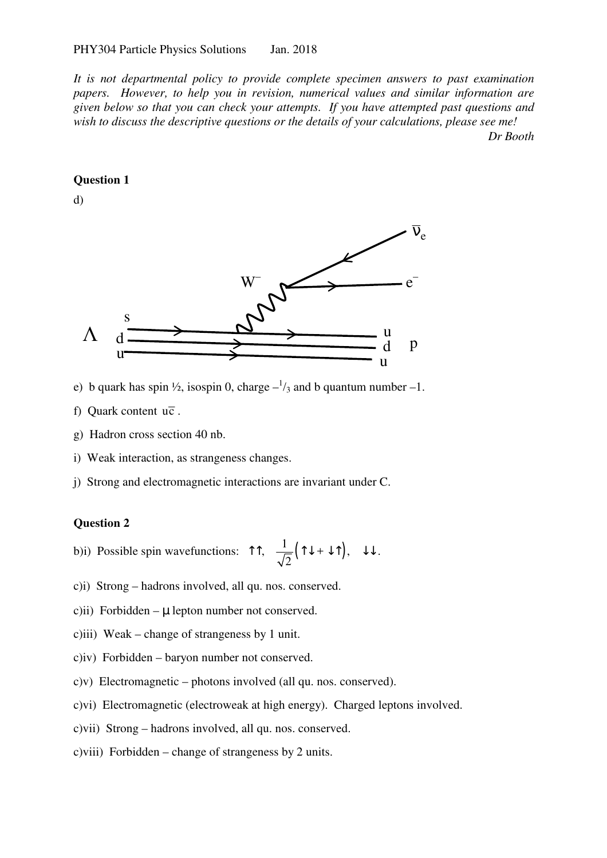*It is not departmental policy to provide complete specimen answers to past examination papers. However, to help you in revision, numerical values and similar information are given below so that you can check your attempts. If you have attempted past questions and wish to discuss the descriptive questions or the details of your calculations, please see me! Dr Booth* 

## **Question 1**

d)



- e) b quark has spin  $\frac{1}{2}$ , isospin 0, charge  $-\frac{1}{3}$  and b quantum number -1.
- f) Quark content  $u\overline{c}$ .
- g) Hadron cross section 40 nb.
- i) Weak interaction, as strangeness changes.
- j) Strong and electromagnetic interactions are invariant under C.

## **Question 2**

- b)i) Possible spin wavefunctions:  $\hat{I} \hat{I}$ ,  $\frac{1}{\sqrt{2}}(\hat{I} \downarrow + \downarrow \hat{I})$ , 2  $T^*$ ,  $\frac{1}{\sqrt{2}}(T\downarrow + \downarrow T)$ ,  $\downarrow \downarrow$ .
- c)i) Strong hadrons involved, all qu. nos. conserved.
- c)ii) Forbidden  $\mu$  lepton number not conserved.
- c)iii) Weak change of strangeness by 1 unit.
- c)iv) Forbidden baryon number not conserved.
- c)v) Electromagnetic photons involved (all qu. nos. conserved).
- c)vi) Electromagnetic (electroweak at high energy). Charged leptons involved.
- c)vii) Strong hadrons involved, all qu. nos. conserved.
- c)viii) Forbidden change of strangeness by 2 units.